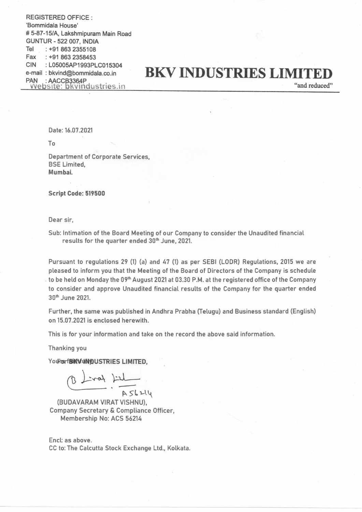REGISTERED OFFICE : 'Bommidala House' # 5-87-15/A, Lakshmipuram Main Road GUNTUR - 522 007, INDIA Tel : +91 863 2355108 Fax :+91 863 2358453 CIN : LO5005AP1993PLC015304 e-mail : bkvind@bommidala.co.in PAN : AACCB3364P<br>
Website: bkvindustries.in

## **BKV INDUSTRIES LIMITED**

"and reduced"

Date: 16.07.2021

To

Department of Corporate Services, BSE Limited, Mumbai.

Script Code: 519500

Dear sir,

Sub: Intimation of the Board Meeting of our Company to consider the Unaudited financial results for the quarter ended 30" June, 2021.

Pursuant to regulations 29 (1) (a) and 47 (1) as per SEBI (LODR) Regulations, 2015 we are pleased to inform you that the Meeting of the Board of Directors of the Company is schedule to be held on Monday the 09th August 2021 at 03.30 P.M. at the registered office of the Company to consider and approve Unaudited financial results of the Company for the quarter ended 36" June 2621.

Further, the same was published in Andhra Prabha (Telugu) and Business standard (English) on 15.07.2021 is enclosed herewith.

This is for your information and take on the record the above said information.

Thanking you

YOURGATBINVUNDUSTRIES LIMITED,

(BUDAVARAM VIRAT VISHNU), Company Secretary & Compliance Officer, Membership No: ACS 56214

Encl: as above. CC to: The Calcutta Stock Exchange Ltd., Kolkata.